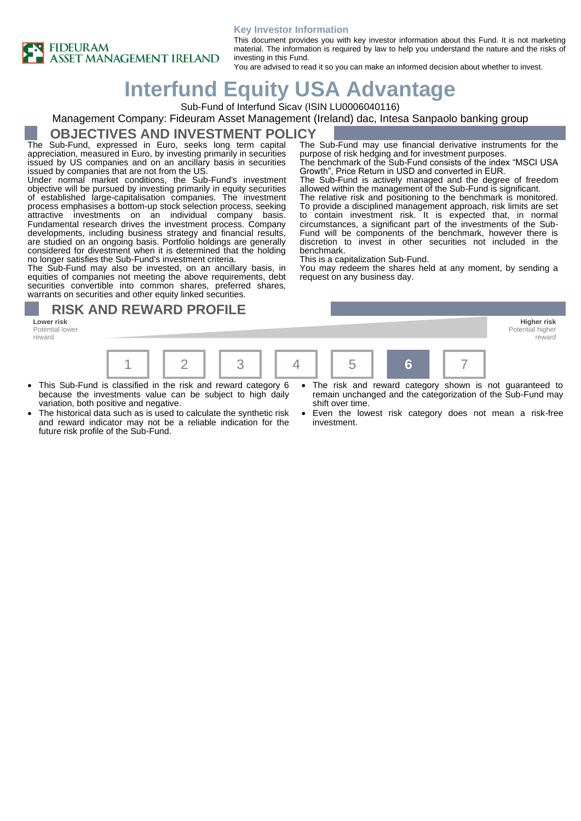



This document provides you with key investor information about this Fund. It is not marketing material. The information is required by law to help you understand the nature and the risks of investing in this Fund.

purpose of risk hedging and for investment purposes.

Growth", Price Return in USD and converted in EUR.

The Sub-Fund may use financial derivative instruments for the

The benchmark of the Sub-Fund consists of the index "MSCI USA

The Sub-Fund is actively managed and the degree of freedom allowed within the management of the Sub-Fund is significant. The relative risk and positioning to the benchmark is monitored. To provide a disciplined management approach, risk limits are set to contain investment risk. It is expected that, in normal circumstances, a significant part of the investments of the Sub-Fund will be components of the benchmark, however there is discretion to invest in other securities not included in the

You may redeem the shares held at any moment, by sending a

You are advised to read it so you can make an informed decision about whether to invest.

# **Interfund Equity USA Advantage**

Sub-Fund of Interfund Sicav (ISIN LU0006040116)

#### Management Company: Fideuram Asset Management (Ireland) dac, Intesa Sanpaolo banking group

### **OBJECTIVES AND INVESTMENT POLICY**

The Sub-Fund, expressed in Euro, seeks long term capital appreciation, measured in Euro, by investing primarily in securities issued by US companies and on an ancillary basis in securities issued by companies that are not from the US.

Under normal market conditions, the Sub-Fund's investment objective will be pursued by investing primarily in equity securities of established large-capitalisation companies. The investment process emphasises a bottom-up stock selection process, seeking attractive investments on an individual company basis. Fundamental research drives the investment process. Company developments, including business strategy and financial results, are studied on an ongoing basis. Portfolio holdings are generally considered for divestment when it is determined that the holding no longer satisfies the Sub-Fund's investment criteria.

The Sub-Fund may also be invested, on an ancillary basis, in equities of companies not meeting the above requirements, debt securities convertible into common shares, preferred shares, warrants on securities and other equity linked securities.

## **RISK AND REWARD PROFILE**

**Lower risk Higher risk** Potential lower reward



benchmark.

This is a capitalization Sub-Fund.

request on any business day.

- This Sub-Fund is classified in the risk and reward category 6 because the investments value can be subject to high daily variation, both positive and negative.
- The historical data such as is used to calculate the synthetic risk and reward indicator may not be a reliable indication for the future risk profile of the Sub-Fund.
- The risk and reward category shown is not guaranteed to remain unchanged and the categorization of the Sub-Fund may shift over time.

Potential higher reward

Even the lowest risk category does not mean a risk-free investment.